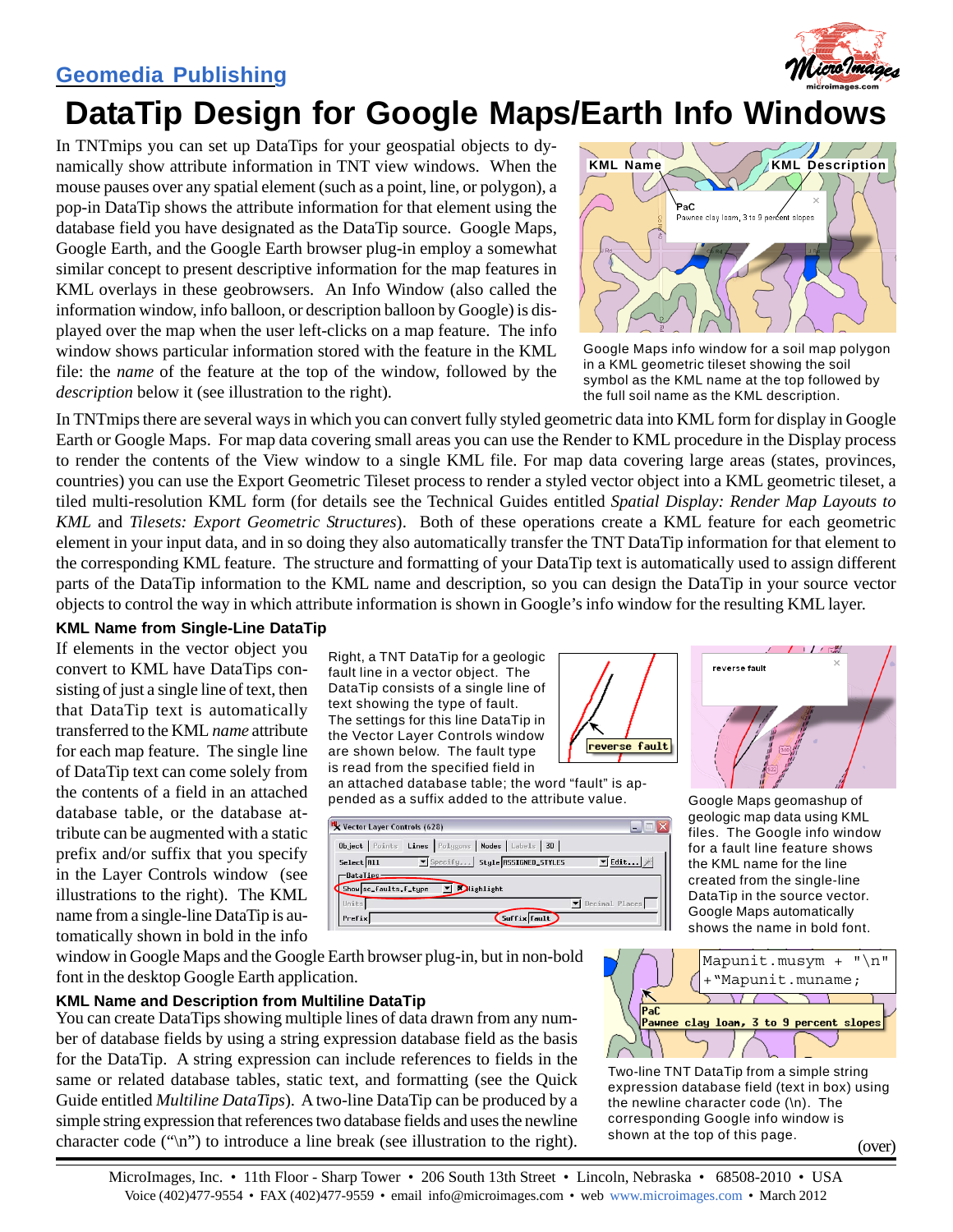## **[Geomedia Publishing](http://www.microimages.com/documentation/html/Categories/PublishingTilesetMashups.htm)**



# **DataTip Design for Google Maps/Earth Info Windows**

In TNTmips you can set up DataTips for your geospatial objects to dynamically show attribute information in TNT view windows. When the mouse pauses over any spatial element (such as a point, line, or polygon), a pop-in DataTip shows the attribute information for that element using the database field you have designated as the DataTip source. Google Maps, Google Earth, and the Google Earth browser plug-in employ a somewhat similar concept to present descriptive information for the map features in KML overlays in these geobrowsers. An Info Window (also called the information window, info balloon, or description balloon by Google) is displayed over the map when the user left-clicks on a map feature. The info window shows particular information stored with the feature in the KML file: the *name* of the feature at the top of the window, followed by the *description* below it (see illustration to the right).



Google Maps info window for a soil map polygon in a KML geometric tileset showing the soil symbol as the KML name at the top followed by the full soil name as the KML description.

In TNTmips there are several ways in which you can convert fully styled geometric data into KML form for display in Google Earth or Google Maps. For map data covering small areas you can use the Render to KML procedure in the Display process to render the contents of the View window to a single KML file. For map data covering large areas (states, provinces, countries) you can use the Export Geometric Tileset process to render a styled vector object into a KML geometric tileset, a tiled multi-resolution KML form (for details see the Technical Guides entitled *Spatial Display: Render Map Layouts to KML* and *Tilesets: Export Geometric Structures*). Both of these operations create a KML feature for each geometric element in your input data, and in so doing they also automatically transfer the TNT DataTip information for that element to the corresponding KML feature. The structure and formatting of your DataTip text is automatically used to assign different parts of the DataTip information to the KML name and description, so you can design the DataTip in your source vector objects to control the way in which attribute information is shown in Google's info window for the resulting KML layer.

#### **KML Name from Single-Line DataTip**

If elements in the vector object you convert to KML have DataTips consisting of just a single line of text, then that DataTip text is automatically transferred to the KML *name* attribute for each map feature. The single line of DataTip text can come solely from the contents of a field in an attached database table, or the database attribute can be augmented with a static prefix and/or suffix that you specify in the Layer Controls window (see illustrations to the right). The KML name from a single-line DataTip is automatically shown in bold in the info

Right, a TNT DataTip for a geologic fault line in a vector object. The DataTip consists of a single line of text showing the type of fault. The settings for this line DataTip in the Vector Layer Controls window are shown below. The fault type is read from the specified field in

an attached database table; the word "fault" is appended as a suffix added to the attribute value.

|                                 |                       | Object   Points Lines   Polygons   Nodes Labels   3D |                           |
|---------------------------------|-----------------------|------------------------------------------------------|---------------------------|
| Select <b>All</b><br>-DataTips- |                       | Specify Style RSSIGNED_STYLES                        | $\blacktriangledown$ Edit |
|                                 | Show sc_faults.f_type | lighlight                                            |                           |





Google Maps geomashup of geologic map data using KML files. The Google info window for a fault line feature shows the KML name for the line created from the single-line DataTip in the source vector. Google Maps automatically shows the name in bold font.

window in Google Maps and the Google Earth browser plug-in, but in non-bold font in the desktop Google Earth application.

### **KML Name and Description from Multiline DataTip**

You can create DataTips showing multiple lines of data drawn from any number of database fields by using a string expression database field as the basis for the DataTip. A string expression can include references to fields in the same or related database tables, static text, and formatting (see the Quick Guide entitled *Multiline DataTips*). A two-line DataTip can be produced by a simple string expression that references two database fields and uses the newline character code ("\n") to introduce a line break (see illustration to the right).



Two-line TNT DataTip from a simple string expression database field (text in box) using the newline character code (\n). The corresponding Google info window is shown at the top of this page.

MicroImages, Inc. • 11th Floor - Sharp Tower • 206 South 13th Street • Lincoln, Nebraska • 68508-2010 • USA Voice (402)477-9554 • FAX (402)477-9559 • email info@microimages.com • web [www.microimages.com](http://www.microimages.com) • March 2012

(over)